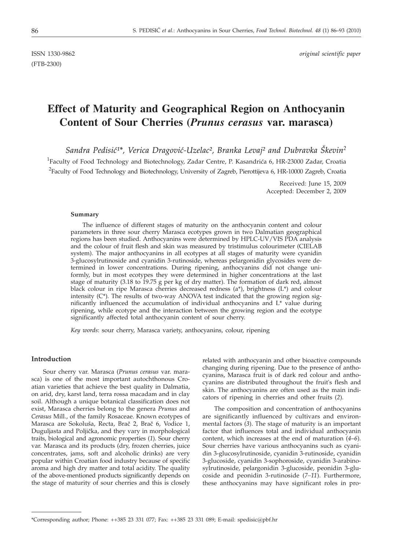(FTB-2300)

ISSN 1330-9862 *original scientific paper*

# **Effect of Maturity and Geographical Region on Anthocyanin Content of Sour Cherries (***Prunus cerasus* **var. marasca)**

Sandra Pedisić<sup>1\*</sup>, Verica Dragović-Uzelac<sup>2</sup>, Branka Levaj<sup>2</sup> and Dubravka Škevin<sup>2</sup>

<sup>1</sup>Faculty of Food Technology and Biotechnology, Zadar Centre, P. Kasandrića 6, HR-23000 Zadar, Croatia  $^{2}$ Faculty of Food Technology and Biotechnology, University of Zagreb, Pierottijeva 6, HR-10000 Zagreb, Croatia

> Received: June 15, 2009 Accepted: December 2, 2009

## **Summary**

The influence of different stages of maturity on the anthocyanin content and colour parameters in three sour cherry Marasca ecotypes grown in two Dalmatian geographical regions has been studied. Anthocyanins were determined by HPLC-UV/VIS PDA analysis and the colour of fruit flesh and skin was measured by tristimulus colourimeter (CIELAB system). The major anthocyanins in all ecotypes at all stages of maturity were cyanidin 3-glucosylrutinoside and cyanidin 3-rutinoside, whereas pelargonidin glycosides were determined in lower concentrations. During ripening, anthocyanins did not change uniformly, but in most ecotypes they were determined in higher concentrations at the last stage of maturity (3.18 to 19.75 g per kg of dry matter). The formation of dark red, almost black colour in ripe Marasca cherries decreased redness  $(a^*)$ , brightness  $(L^*)$  and colour intensity  $(C^*)$ . The results of two-way ANOVA test indicated that the growing region significantly influenced the accumulation of individual anthocyanins and L\* value during ripening, while ecotype and the interaction between the growing region and the ecotype significantly affected total anthocyanin content of sour cherry.

*Key words*: sour cherry, Marasca variety, anthocyanins, colour, ripening

# **Introduction**

Sour cherry var. Marasca (*Prunus cerasus* var. marasca) is one of the most important autochthonous Croatian varieties that achieve the best quality in Dalmatia, on arid, dry, karst land, terra rossa macadam and in clay soil. Although a unique botanical classification does not exist, Marasca cherries belong to the genera *Prunus* and *Cerasus* Mill., of the family Rosaceae. Known ecotypes of Marasca are Sokoluša, Recta, Brač 2, Brač 6, Vodice 1, Duguljasta and Poljička, and they vary in morphological traits, biological and agronomic properties (*1*). Sour cherry var. Marasca and its products (dry, frozen cherries, juice concentrates, jams, soft and alcoholic drinks) are very popular within Croatian food industry because of specific aroma and high dry matter and total acidity. The quality of the above-mentioned products significantly depends on the stage of maturity of sour cherries and this is closely related with anthocyanin and other bioactive compounds changing during ripening. Due to the presence of anthocyanins, Marasca fruit is of dark red colour and anthocyanins are distributed throughout the fruit's flesh and skin. The anthocyanins are often used as the main indicators of ripening in cherries and other fruits (*2*).

The composition and concentration of anthocyanins are significantly influenced by cultivars and environmental factors (*3*). The stage of maturity is an important factor that influences total and individual anthocyanin content, which increases at the end of maturation (*4*–*6*). Sour cherries have various anthocyanins such as cyanidin 3-glucosylrutinoside, cyanidin 3-rutinoside, cyanidin 3-glucoside, cyanidin 3-sophoroside, cyanidin 3-arabinosylrutinoside, pelargonidin 3-glucoside, peonidin 3-glucoside and peonidin 3-rutinoside (*7–11*). Furthermore, these anthocyanins may have significant roles in pro-

<sup>\*</sup>Corresponding author; Phone: ++385 23 331 077; Fax: ++385 23 331 089; E-mail: spedisic@pbf.hr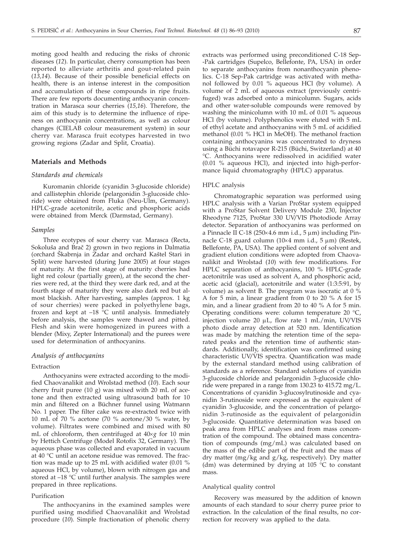moting good health and reducing the risks of chronic diseases (*12*). In particular, cherry consumption has been reported to alleviate arthritis and gout-related pain (*13,14*). Because of their possible beneficial effects on health, there is an intense interest in the composition and accumulation of these compounds in ripe fruits. There are few reports documenting anthocyanin concentration in Marasca sour cherries (*15,16*). Therefore, the aim of this study is to determine the influence of ripeness on anthocyanin concentrations, as well as colour changes (CIELAB colour measurement system) in sour cherry var. Marasca fruit ecotypes harvested in two growing regions (Zadar and Split, Croatia).

# **Materials and Methods**

## *Standards and chemicals*

Kuromanin chloride (cyanidin 3-glucoside chloride) and callistephin chloride (pelargonidin 3-glucoside chloride) were obtained from Fluka (Neu-Ulm, Germany). HPLC-grade acetonitrile, acetic and phosphoric acids were obtained from Merck (Darmstad, Germany).

#### *Samples*

Three ecotypes of sour cherry var. Marasca (Recta, Sokoluša and Brač 2) grown in two regions in Dalmatia (orchard Škabrnja in Zadar and orchard Kaštel Stari in Split) were harvested (during June 2005) at four stages of maturity. At the first stage of maturity cherries had light red colour (partially green), at the second the cherries were red, at the third they were dark red, and at the fourth stage of maturity they were also dark red but almost blackish. After harvesting, samples (approx. 1 kg of sour cherries) were packed in polyethylene bags, frozen and kept at  $-18$  °C until analysis. Immediately before analysis, the samples were thawed and pitted. Flesh and skin were homogenized in purees with a blender (Mixy, Zepter International) and the purees were used for determination of anthocyanins.

## *Analysis of anthocyanins*

## Extraction

Anthocyanins were extracted according to the modified Chaovanalikit and Wrolstad method (*10*). Each sour cherry fruit puree (10 g) was mixed with 20 mL of acetone and then extracted using ultrasound bath for 10 min and filtered on a Büchner funnel using Watmann No. 1 paper. The filter cake was re-extracted twice with 10 mL of 70 % acetone (70 % acetone/30 % water, by volume). Filtrates were combined and mixed with 80 mL of chloroform, then centrifuged at  $40 \times g$  for 10 min by Hettich Centrifuge (Model Rotofix 32, Germany). The aqueous phase was collected and evaporated in vacuum at 40 °C until an acetone residue was removed. The fraction was made up to 25 mL with acidified water (0.01 % aqueous HCl, by volume), blown with nitrogen gas and stored at –18 °C until further analysis. The samples were prepared in three replications.

#### Purification

The anthocyanins in the examined samples were purified using modified Chaovanalikit and Wrolstad procedure (*10*). Simple fractionation of phenolic cherry extracts was performed using preconditioned C-18 Sep- -Pak cartridges (Supelco, Bellefonte, PA, USA) in order to separate anthocyanins from nonanthocyanin phenolics. C-18 Sep-Pak cartridge was activated with methanol followed by 0.01 % aqueous HCl (by volume). A volume of 2 mL of aqueous extract (previously centrifuged) was adsorbed onto a minicolumn. Sugars, acids and other water-soluble compounds were removed by washing the minicolumn with 10 mL of 0.01 % aqueous HCl (by volume). Polyphenolics were eluted with 5 mL of ethyl acetate and anthocyanins with 5 mL of acidified methanol (0.01 % HCl in MeOH). The methanol fraction containing anthocyanins was concentrated to dryness using a Büchi rotavapor R-215 (Büchi, Switzerland) at 40 °C. Anthocyanins were redissolved in acidified water (0.01 % aqueous HCl), and injected into high-performance liquid chromatography (HPLC) apparatus.

# HPLC analysis

Chromatographic separation was performed using HPLC analysis with a Varian ProStar system equipped with a ProStar Solvent Delivery Module 230, Injector Rheodyne 7125, ProStar 330 UV*/*VIS Photodiode Array detector. Separation of anthocyanins was performed on a Pinnacle II C-18 (250 $\times$ 4.6 mm i.d., 5  $\mu$ m) including Pinnacle C-18 guard column  $(10\times4$  mm i.d.,  $5 \mu m$ ) (Restek, Bellefonte, PA, USA). The applied content of solvent and gradient elution conditions were adopted from Chaovanalikit and Wrolstad (*10*) with few modifications. For HPLC separation of anthocyanins, 100 % HPLC-grade acetonitrile was used as solvent A, and phosphoric acid, acetic acid (glacial), acetonitrile and water (1:3:5:91, by volume) as solvent B. The program was isocratic at  $0\%$ A for 5 min, a linear gradient from 0 to 20 % A for 15 min, and a linear gradient from 20 to 40 % A for 5 min. Operating conditions were: column temperature 20 °C, injection volume 20 mL, flow rate 1 mL/min, UV*/*VIS photo diode array detection at 520 nm. Identification was made by matching the retention time of the separated peaks and the retention time of authentic standards. Additionally, identification was confirmed using characteristic UV*/*VIS spectra. Quantification was made by the external standard method using calibration of standards as a reference. Standard solutions of cyanidin 3-glucoside chloride and pelargonidin 3-glucoside chloride were prepared in a range from 130.23 to 415.72 mg/L. Concentrations of cyanidin 3-glucosylrutinoside and cyanidin 3-rutinoside were expressed as the equivalent of cyanidin 3-glucoside, and the concentration of pelargonidin 3-rutinoside as the equivalent of pelargonidin 3-glucoside. Quantitative determination was based on peak area from HPLC analyses and from mass concentration of the compound. The obtained mass concentration of compounds (mg/mL) was calculated based on the mass of the edible part of the fruit and the mass of dry matter (mg/kg and g/kg, respectively). Dry matter (dm) was determined by drying at 105  $\degree$ C to constant mass.

#### Analytical quality control

Recovery was measured by the addition of known amounts of each standard to sour cherry puree prior to extraction. In the calculation of the final results, no correction for recovery was applied to the data.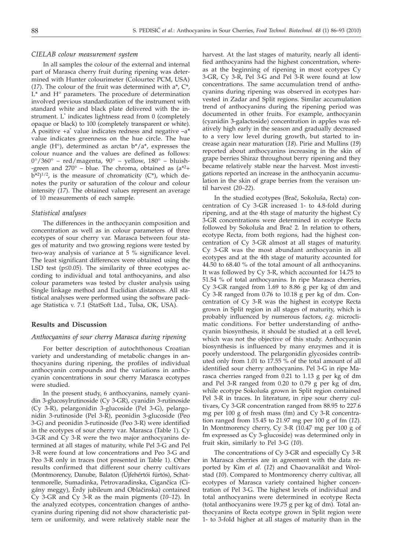## *CIELAB colour measurement system*

In all samples the colour of the external and internal part of Marasca cherry fruit during ripening was determined with Hunter colourimeter (Colourtec PCM, USA) (*17*). The colour of the fruit was determined with a\*, C\*, L\* and H° parameters. The procedure of determination involved previous standardization of the instrument with standard white and black plate delivered with the instrument. L\* indicates lightness read from 0 (completely opaque or black) to 100 (completely transparent or white). A positive +a\* value indicates redness and negative *–*a*\** value indicates greenness on the hue circle. The hue angle  $(H^{\circ})$ , determined as arctan  $b^*/a^*$ , expresses the colour nuance and the values are defined as follows:  $0^{\circ}/360^{\circ}$  – red/magenta,  $90^{\circ}$  – yellow,  $180^{\circ}$  – bluish--green and  $270^{\circ}$  – blue. The chroma, obtained as  $(a^{*2}+)$  $b^{*2}$ )<sup>1/2</sup>, is the measure of chromaticity (C\*), which denotes the purity or saturation of the colour and colour intensity (*17*). The obtained values represent an average of 10 measurements of each sample.

#### *Statistical analyses*

The differences in the anthocyanin composition and concentration as well as in colour parameters of three ecotypes of sour cherry var. Marasca between four stages of maturity and two growing regions were tested by two-way analysis of variance at 5 % significance level. The least significant differences were obtained using the LSD test ( $p \le 0.05$ ). The similarity of three ecotypes according to individual and total anthocyanins, and also colour parameters was tested by cluster analysis using Single linkage method and Euclidian distances. All statistical analyses were performed using the software package Statistica v. 7.1 (StatSoft Ltd., Tulsa, OK, USA).

## **Results and Discussion**

## *Anthocyanins of sour cherry Marasca during ripening*

For better description of autochthonous Croatian variety and understanding of metabolic changes in anthocyanins during ripening, the profiles of individual anthocyanin compounds and the variations in anthocyanin concentrations in sour cherry Marasca ecotypes were studied.

In the present study, 6 anthocyanins, namely cyanidin 3-glucosylrutinoside (Cy 3-GR), cyanidin 3-rutinoside (Cy 3-R), pelargonidin 3-glucoside (Pel 3-G), pelargonidin 3-rutinoside (Pel 3-R), peonidin 3-glucoside (Peo 3-G) and peonidin 3-rutinoside (Peo 3-R) were identified in the ecotypes of sour cherry var. Marasca (Table 1). Cy 3-GR and Cy 3-R were the two major anthocyanins determined at all stages of maturity, while Pel 3-G and Pel 3-R were found at low concentrations and Peo 3-G and Peo 3-R only in traces (not presented in Table 1). Other results confirmed that different sour cherry cultivars (Montmorency, Danube, Balaton (Újfehértói fürtös), Schattenmorelle, Sumadinka, Petrovaradinska, Cigančica (Cigány meggy), Érdy jubileum and Oblačinska) contained Cy 3-GR and Cy 3-R as the main pigments (*10–12*). In the analyzed ecotypes, concentration changes of anthocyanins during ripening did not show characteristic pattern or uniformity, and were relatively stable near the harvest. At the last stages of maturity, nearly all identified anthocyanins had the highest concentration, whereas at the beginning of ripening in most ecotypes Cy 3-GR, Cy 3-R, Pel 3-G and Pel 3-R were found at low concentrations. The same accumulation trend of anthocyanins during ripening was observed in ecotypes harvested in Zadar and Split regions. Similar accumulation trend of anthocyanins during the ripening period was documented in other fruits. For example, anthocyanin (cyanidin 3-galactoside) concentration in apples was relatively high early in the season and gradually decreased to a very low level during growth, but started to increase again near maturation (*18*). Pirie and Mullins (*19*) reported about anthocyanins increasing in the skin of grape berries Shiraz throughout berry ripening and they became relatively stable near the harvest. Most investigations reported an increase in the anthocyanin accumulation in the skin of grape berries from the veraison until harvest (*20–22*).

In the studied ecotypes (Brač, Sokoluša, Recta) concentration of Cy 3-GR increased 1- to 4.8-fold during ripening, and at the 4th stage of maturity the highest Cy 3-GR concentrations were determined in ecotype Recta followed by Sokoluša and Brač 2. In relation to others, ecotype Recta, from both regions, had the highest concentration of Cy 3-GR almost at all stages of maturity. Cy 3-GR was the most abundant anthocyanin in all ecotypes and at the 4th stage of maturity accounted for 44.50 to 68.40 % of the total amount of all anthocyanins. It was followed by Cy 3-R, which accounted for 14.75 to 51.54 % of total anthocyanins. In ripe Marasca cherries, Cy 3-GR ranged from 1.69 to 8.86 g per kg of dm and Cy 3-R ranged from 0.76 to 10.18 g per kg of dm. Concentration of Cy 3-R was the highest in ecotype Recta grown in Split region in all stages of maturity, which is probably influenced by numerous factors, *e.g.* microclimatic conditions. For better understanding of anthocyanin biosynthesis, it should be studied at a cell level, which was not the objective of this study. Anthocyanin biosynthesis is influenced by many enzymes and it is poorly understood. The pelargonidin glycosides contributed only from 1.01 to 17.55 % of the total amount of all identified sour cherry anthocyanins. Pel 3-G in ripe Marasca cherries ranged from 0.21 to 1.13 g per kg of dm and Pel 3-R ranged from 0.20 to 0.79 g per kg of dm, while ecotype Sokoluša grown in Split region contained Pel 3-R in traces. In literature, in ripe sour cherry cultivars, Cy 3-GR concentration ranged from 88.95 to 227.6 mg per 100 g of fresh mass (fm) and Cy 3-R concentration ranged from 15.45 to 21.97 mg per 100 g of fm (*12*). In Montmorency cherry, Cy 3-R (10.47 mg per 100 g of fm expressed as Cy 3-glucoside) was determined only in fruit skin, similarly to Pel 3-G (*10*).

The concentrations of Cy 3-GR and especially Cy 3-R in Marasca cherries are in agreement with the data reported by Kim *et al.* (*12*) and Chaovanalikit and Wrolstad (*10*). Compared to Montmorency cherry cultivar, all ecotypes of Marasca variety contained higher concentration of Pel 3-G. The highest levels of individual and total anthocyanins were determined in ecotype Recta (total anthocyanins were 19.75 g per kg of dm). Total anthocyanins of Recta ecotype grown in Split region were 1- to 3-fold higher at all stages of maturity than in the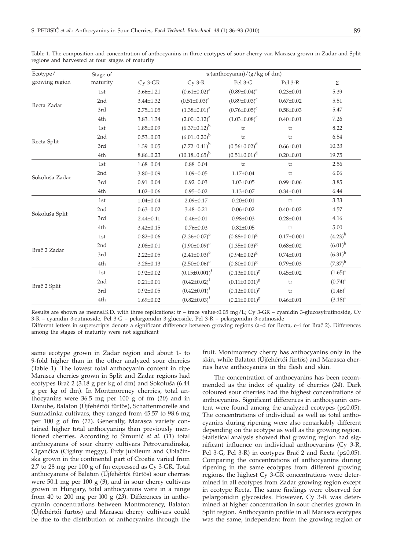| Ecotype/       | Stage of | $w(\text{anthocyanin})/(g/kg \text{ of } dm)$ |                       |                      |                  |                       |  |
|----------------|----------|-----------------------------------------------|-----------------------|----------------------|------------------|-----------------------|--|
| growing region | maturity | $Cy$ 3- $GR$                                  | $Cy$ 3- $R$           | Pel 3-G              | Pel 3-R          | $\Sigma$              |  |
| Recta Zadar    | 1st      | $3.66 \pm 1.21$                               | $(0.61 \pm 0.02)^a$   | $(0.89 \pm 0.04)^c$  | $0.23 \pm 0.01$  | 5.39                  |  |
|                | 2nd      | $3.44 \pm 1.32$                               | $(0.51 \pm 0.03)^a$   | $(0.89 \pm 0.03)^c$  | $0.67 \pm 0.02$  | 5.51                  |  |
|                | 3rd      | $2.75 \pm 1.05$                               | $(1.38 \pm 0.01)^a$   | $(0.76 \pm 0.05)^c$  | $0.58 \pm 0.03$  | 5.47                  |  |
|                | 4th      | $3.83 \pm 1.34$                               | $(2.00 \pm 0.12)^a$   | $(1.03 \pm 0.08)^c$  | $0.40 \pm 0.01$  | 7.26                  |  |
|                | 1st      | $1.85 \pm 0.09$                               | $(6.37 \pm 0.12)^{b}$ | tr                   | tr               | 8.22                  |  |
| Recta Split    | 2nd      | $0.53 \pm 0.03$                               | $(6.01 \pm 0.20)^{b}$ | tr                   | tr               | 6.54                  |  |
|                | 3rd      | $1.39 \pm 0.05$                               | $(7.72 \pm 0.41)^b$   | $(0.56 \pm 0.02)^d$  | $0.66 \pm 0.01$  | 10.33                 |  |
|                | 4th      | $8.86 \pm 0.23$                               | $(10.18\pm0.65)^{b}$  | $(0.51 \pm 0.01)^d$  | $0.20 \pm 0.01$  | 19.75                 |  |
|                | 1st      | $1.68 \pm 0.04$                               | $0.88 \pm 0.04$       | tr                   | tr               | 2.56                  |  |
| Sokoluša Zadar | 2nd      | $3.80 \pm 0.09$                               | $1.09 \pm 0.05$       | $1.17 \pm 0.04$      | tr               | 6.06                  |  |
|                | 3rd      | $0.91 \pm 0.04$                               | $0.92 \pm 0.03$       | $1.03 \pm 0.05$      | $0.99 \pm 0.06$  | 3.85                  |  |
|                | 4th      | $4.02 \pm 0.06$                               | $0.95 \pm 0.02$       | $1.13 \pm 0.07$      | $0.34 \pm 0.01$  | 6.44                  |  |
|                | 1st      | $1.04 \pm 0.04$                               | $2.09 \pm 0.17$       | $0.20 \pm 0.01$      | tr               | 3.33                  |  |
| Sokoluša Split | 2nd      | $0.63 \pm 0.02$                               | $3.48 \pm 0.21$       | $0.06 \pm 0.02$      | $0.40 \pm 0.02$  | 4.57                  |  |
|                | 3rd      | $2.44 \pm 0.11$                               | $0.46 \pm 0.01$       | $0.98 \pm 0.03$      | $0.28 \pm 0.01$  | 4.16                  |  |
|                | 4th      | $3.42 \pm 0.15$                               | $0.76 \pm 0.03$       | $0.82 \pm 0.05$      | tr               | 5.00                  |  |
| Brač 2 Zadar   | 1st      | $0.82 \pm 0.06$                               | $(2.36 \pm 0.07)^e$   | $(0.88 \pm 0.01)^8$  | $0.17 \pm 0.001$ | $(4.23)^{h}$          |  |
|                | 2nd      | $2.08 \pm 0.01$                               | $(1.90\pm0.09)^e$     | $(1.35 \pm 0.03)^8$  | $0.68 \pm 0.02$  | $(6.01)$ <sup>h</sup> |  |
|                | 3rd      | $2.22 \pm 0.05$                               | $(2.41 \pm 0.03)^e$   | $(0.94 \pm 0.02)^8$  | $0.74 \pm 0.01$  | $(6.31)$ <sup>h</sup> |  |
|                | 4th      | $3.28 \pm 0.13$                               | $(2.50 \pm 0.06)^e$   | $(0.80 \pm 0.01)^8$  | $0.79 \pm 0.03$  | $(7.37)^{h}$          |  |
| Brač 2 Split   | 1st      | $0.92 \pm 0.02$                               | $(0.15 \pm 0.001)^f$  | $(0.13 \pm 0.001)^8$ | $0.45 \pm 0.02$  | $(1.65)^{i}$          |  |
|                | 2nd      | $0.21 \pm 0.01$                               | $(0.42 \pm 0.02)^t$   | $(0.11\pm0.001)^8$   | tr               | $(0.74)^{i}$          |  |
|                | 3rd      | $0.92 \pm 0.05$                               | $(0.42 \pm 0.01)^f$   | $(0.12 \pm 0.001)^8$ | tr               | $(1.46)^{i}$          |  |
|                | 4th      | $1.69 \pm 0.02$                               | $(0.82 \pm 0.03)^f$   | $(0.21 \pm 0.001)^8$ | $0.46 \pm 0.01$  | $(3.18)^{i}$          |  |

Table 1. The composition and concentration of anthocyanins in three ecotypes of sour cherry var. Marasca grown in Zadar and Split regions and harvested at four stages of maturity

Results are shown as means±S.D. with three replications; tr – trace value<0.05 mg/L; Cy 3-GR – cyanidin 3-glucosylrutinoside, Cy 3-R – cyanidin 3-rutinoside, Pel 3-G – pelargonidin 3-glucoside, Pel 3-R – pelargonidin 3-rutinoside

Different letters in superscripts denote a significant difference between growing regions (a–d for Recta, e–i for Brač 2). Differences among the stages of maturity were not significant

same ecotype grown in Zadar region and about 1- to 9-fold higher than in the other analyzed sour cherries (Table 1). The lowest total anthocyanin content in ripe Marasca cherries grown in Split and Zadar regions had ecotypes Brač 2 (3.18 g per kg of dm) and Sokoluša (6.44 g per kg of dm). In Montmorency cherries, total anthocyanins were 36.5 mg per 100 g of fm (*10*) and in Danube, Balaton (Újfehértói fürtös), Schattenmorelle and Sumadinka cultivars, they ranged from 45.57 to 98.6 mg per 100 g of fm (*12*). Generally, Marasca variety contained higher total anthocyanins than previously mentioned cherries. According to [imuni} *et al.* (*11*) total anthocyanins of sour cherry cultivars Petrovaradinska, Cigančica (Cigány meggy), Érdy jubileum and Oblačinska grown in the continental part of Croatia varied from 2.7 to 28 mg per 100 g of fm expressed as Cy 3-GR. Total anthocyanins of Balaton (Újfehértói fürtös) sour cherries were 50.1 mg per 100 g (*9*), and in sour cherry cultivars grown in Hungary, total anthocyanins were in a range from 40 to 200 mg per l00 g (*23*). Differences in anthocyanin concentrations between Montmorency, Balaton (Újfehértói fürtös) and Marasca cherry cultivars could be due to the distribution of anthocyanins through the

fruit. Montmorency cherry has anthocyanins only in the skin, while Balaton (Újfehértói fürtös) and Marasca cherries have anthocyanins in the flesh and skin.

The concentration of anthocyanins has been recommended as the index of quality of cherries (*24*). Dark coloured sour cherries had the highest concentrations of anthocyanins. Significant differences in anthocyanin content were found among the analyzed ecotypes ( $p \leq 0.05$ ). The concentrations of individual as well as total anthocyanins during ripening were also remarkably different depending on the ecotype as well as the growing region. Statistical analysis showed that growing region had significant influence on individual anthocyanins (Cy 3-R, Pel 3-G, Pel 3-R) in ecotypes Brač 2 and Recta ( $p \le 0.05$ ). Comparing the concentrations of anthocyanins during ripening in the same ecotypes from different growing regions, the highest Cy 3-GR concentrations were determined in all ecotypes from Zadar growing region except in ecotype Recta. The same findings were observed for pelargonidin glycosides. However, Cy 3-R was determined at higher concentration in sour cherries grown in Split region. Anthocyanin profile in all Marasca ecotypes was the same, independent from the growing region or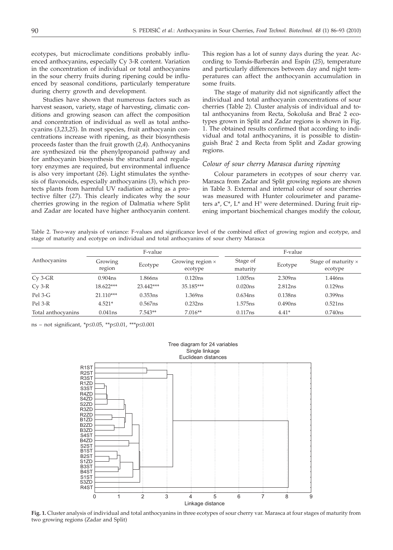ecotypes, but microclimate conditions probably influenced anthocyanins, especially Cy 3-R content. Variation in the concentration of individual or total anthocyanins in the sour cherry fruits during ripening could be influenced by seasonal conditions, particularly temperature during cherry growth and development.

Studies have shown that numerous factors such as harvest season, variety, stage of harvesting, climatic conditions and growing season can affect the composition and concentration of individual as well as total anthocyanins (*3,23,25*). In most species, fruit anthocyanin concentrations increase with ripening, as their biosynthesis proceeds faster than the fruit growth (*2,4*). Anthocyanins are synthesized *via* the phenylpropanoid pathway and for anthocyanin biosynthesis the structural and regulatory enzymes are required, but environmental influence is also very important (*26*). Light stimulates the synthesis of flavonoids, especially anthocyanins (*3*), which protects plants from harmful UV radiation acting as a protective filter (*27*). This clearly indicates why the sour cherries growing in the region of Dalmatia where Split and Zadar are located have higher anthocyanin content. This region has a lot of sunny days during the year. According to Tomás-Barberán and Espín (*25*), temperature and particularly differences between day and night temperatures can affect the anthocyanin accumulation in some fruits.

The stage of maturity did not significantly affect the individual and total anthocyanin concentrations of sour cherries (Table 2). Cluster analysis of individual and total anthocyanins from Recta, Sokoluša and Brač 2 ecotypes grown in Split and Zadar regions is shown in Fig. 1. The obtained results confirmed that according to individual and total anthocyanins, it is possible to distinguish Brač 2 and Recta from Split and Zadar growing regions.

## *Colour of sour cherry Marasca during ripening*

Colour parameters in ecotypes of sour cherry var. Marasca from Zadar and Split growing regions are shown in Table 3. External and internal colour of sour cherries was measured with Hunter colourimeter and parameters a\*, C\*, L\* and H° were determined. During fruit ripening important biochemical changes modify the colour,

Table 2. Two-way analysis of variance: F-values and significance level of the combined effect of growing region and ecotype, and stage of maturity and ecotype on individual and total anthocyanins of sour cherry Marasca

|                    |                     | F-value    |                                    |                      | F-value |                                       |
|--------------------|---------------------|------------|------------------------------------|----------------------|---------|---------------------------------------|
| Anthocyanins       | Growing<br>region   | Ecotype    | Growing region $\times$<br>ecotype | Stage of<br>maturity | Ecotype | Stage of maturity $\times$<br>ecotype |
| $Cy$ 3- $GR$       | 0.904 <sub>ns</sub> | 1.866ns    | 0.120ns                            | 1.005ns              | 2.309ns | 1.446ns                               |
| $Cy$ 3- $R$        | 18.622***           | 23.442***  | 35.185***                          | 0.020ns              | 2.812ns | $0.129$ ns                            |
| Pel 3-G            | $21.110***$         | 0.353ns    | 1.369ns                            | 0.634ns              | 0.138ns | 0.399ns                               |
| Pel 3-R            | $4.521*$            | $0.567$ ns | 0.232ns                            | 1.575 <sub>ns</sub>  | 0.490ns | $0.521$ ns                            |
| Total anthocyanins | 0.041ns             | $7.543**$  | $7.016**$                          | 0.117ns              | $4.41*$ | 0.740ns                               |

ns – not significant, \*p $\leq 0.05$ , \*\*p $\leq 0.01$ , \*\*\*p $\leq 0.001$ 



**Fig. 1.** Cluster analysis of individual and total anthocyanins in three ecotypes of sour cherry var. Marasca at four stages of maturity from two growing regions (Zadar and Split)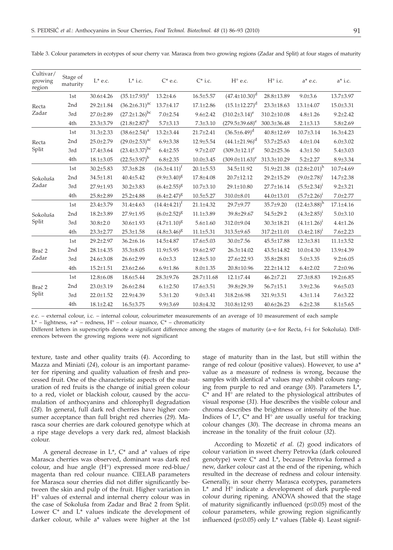| Cultivar/<br>growing<br>region | Stage of<br>maturity | $L^*$ e.c.      | $L^*$ i.c.             | $C^*$ e.c.          | $C^*$ i.c.      | $H^{\circ}$ e.c.      | $H^{\circ}$ i.c. | $a^*$ e.c.          | $a^*$ i.c.      |
|--------------------------------|----------------------|-----------------|------------------------|---------------------|-----------------|-----------------------|------------------|---------------------|-----------------|
|                                | 1st                  | 30.6±4.26       | $(35.1 \pm 7.93)^a$    | $13.2{\pm}4.6$      | $16.5 \pm 5.57$ | $(47.4 \pm 10.30)^d$  | 28.8±13.89       | $9.0 \pm 3.6$       | 13.7±3.97       |
| Recta<br>Zadar                 | 2nd                  | 29.2±1.84       | $(36.2 \pm 6.31)^{ac}$ | 13.7±4.17           | $17.1 \pm 2.86$ | $(15.1 \pm 12.27)^d$  | 23.3±18.63       | 13.1±4.07           | 15.0±3.31       |
|                                | 3rd                  | 27.0±2.89       | $(27.2 \pm 1.26)^{bc}$ | $7.0 \pm 2.54$      | $9.6 \pm 2.42$  | $(310.2\pm3.14)^e$    | 310.2±10.08      | $4.8 \pm 1.26$      | $9.2 + 2.42$    |
|                                | 4th                  | 23.3±3.79       | $(21.8\pm2.87)^{b}$    | $5.7 \pm 3.13$      | $7.3 \pm 3.10$  | $(279.5 \pm 39.68)^e$ | 300.3±36.48      | $2.1 \pm 3.13$      | $5.8 \pm 2.69$  |
|                                | 1st                  | $31.3 \pm 2.33$ | $(38.6 \pm 2.54)^a$    | $13.2 \pm 3.44$     | $21.7 \pm 2.41$ | $(36.5 \pm 6.49)^d$   | 40.8±12.69       | $10.7 \pm 3.14$     | 16.3±4.23       |
| Recta                          | 2nd                  | 25.0±2.79       | $(29.0 \pm 2.53)^{ac}$ | $6.9 \pm 3.38$      | 12.9±5.54       | $(44.1 \pm 21.96)^d$  | 53.7±25.63       | $4.0 \pm 1.04$      | $6.0 \pm 3.02$  |
| Split                          | 3rd                  | 17.4±3.64       | $(23.4\pm3.37)^{bc}$   | $6.4 \pm 2.55$      | $9.7 \pm 2.07$  | $(309.3 \pm 12.1)^e$  | $50.2 + 25.36$   | $4.3 \pm 1.50$      | $5.4 \pm 3.03$  |
|                                | 4th                  | $18.1 \pm 3.05$ | $(22.5 \pm 3.97)^b$    | $6.8 \pm 2.35$      | $10.0 \pm 3.45$ | $(309.0 \pm 11.63)^e$ | 313.3±10.29      | $5.2 \pm 2.27$      | $8.9 \pm 3.34$  |
|                                | 1st                  | $30.2{\pm}5.83$ | $37.3 \pm 8.28$        | $(16.3 \pm 4.11)^f$ | $20.1 \pm 5.53$ | 34.5±11.92            | 51.9±21.38       | $(12.8 \pm 2.01)^h$ | $10.7{\pm}4.69$ |
| Sokoluša                       | 2nd                  | 34.5±1.81       | $40.4 \pm 5.42$        | $(9.9 \pm 3.40)^8$  | $17.8 \pm 4.08$ | 20.7±12.12            | 29.2±15.29       | $(9.0 \pm 2.78)^1$  | 14.7±2.38       |
| Zadar                          | 3rd                  | 27.9±1.93       | $30.2 \pm 3.83$        | $(6.4 \pm 2.55)^8$  | $10.7 \pm 3.10$ | 29.1±10.80            | 27.7±16.14       | $(5.5 \pm 2.34)^1$  | $9.2 \pm 3.21$  |
|                                | 4th                  | 25.8±2.89       | 25.2±4.88              | $(6.4 \pm 2.47)^8$  | $10.5 \pm 5.27$ | 310.0±8.01            | 44.0±13.01       | $(5.7 \pm 2.26)^1$  | $7.0 \pm 2.77$  |
|                                | 1st                  | 23.4±3.79       | 31.4±4.63              | $(14.4 \pm 4.21)^t$ | 21.1±4.32       | 29.7±9.77             | 35.7±9.20        | $(12.4\pm3.88)^h$   | $17.1 \pm 4.16$ |
| Sokoluša                       | 2nd                  | $18.2 \pm 3.89$ | 27.9±1.95              | $(6.0 \pm 2.52)^8$  | $11.1 \pm 3.89$ | 39.8±29.67            | 54.5±29.2        | $(4.3 \pm 2.85)^1$  | $5.0 \pm 3.10$  |
| Split                          | 3rd                  | $30.8{\pm}2.0$  | 30.6±1.93              | $(4.7 \pm 1.10)^8$  | $5.6 \pm 1.60$  | $312.0 \pm 9.04$      | 30.3±18.21       | $(4.1 \pm 1.26)^1$  | $4.4 \pm 1.26$  |
|                                | 4th                  | 23.3±2.77       | $25.3 \pm 1.58$        | $(4.8\pm3.46)^8$    | $11.1 \pm 5.31$ | 313.5±9.65            | 317.2±11.01      | $(3.4 \pm 2.18)^1$  | $7.6 \pm 2.23$  |
| Brač <sub>2</sub><br>Zadar     | 1st                  | 29.2±2.97       | $36.2 \pm 6.16$        | 14.5±4.87           | $17.6 \pm 5.03$ | $30.0 \pm 7.56$       | 45.5±17.88       | $12.3 \pm 3.81$     | $11.1 \pm 3.52$ |
|                                | 2nd                  | 28.1±4.35       | $35.3 \pm 8.05$        | $11.9 \pm 5.95$     | 19.6±2.97       | 26.3±14.02            | 43.5±14.82       | $10.0 \pm 4.30$     | 13.9±4.39       |
|                                | 3rd                  | 24.6±3.08       | 26.6±2.99              | $6.0 \pm 3.3$       | 12.8±5.10       | 27.6±22.93            | 35.8±28.81       | $5.0 + 3.35$        | $9.2 \pm 6.05$  |
|                                | 4th                  | $15.2 \pm 1.51$ | 23.6±2.66              | $6.9 \pm 1.86$      | $8.0 \pm 1.35$  | 20.8±10.96            | 22.2±14.12       | $6.4 \pm 2.02$      | $7.2 \pm 0.96$  |
| Brač <sub>2</sub>              | 1st                  | 12.8±6.08       | 18.6±5.44              | 28.3±9.76           | 28.7±11.68      | $12.1 \pm 7.44$       | $46.2{\pm}7.21$  | 27.3±8.83           | 19.2±6.85       |
|                                | 2nd                  | 23.0±3.19       | 26.6±2.84              | $6.1 \pm 2.50$      | $17.6 \pm 3.51$ | 39.8±29.39            | $56.7 \pm 15.1$  | $3.9 \pm 2.36$      | $9.6 \pm 5.03$  |
| Split                          | 3rd                  | 22.0±1.52       | 22.9±4.39              | $5.3 \pm 1.20$      | $9.0 \pm 3.41$  | 318.2±6.98            | 321.9±3.51       | $4.3 \pm 1.14$      | $7.6 \pm 3.22$  |
|                                | 4th                  | $18.1 \pm 2.42$ | $16.5 \pm 3.75$        | $9.9 \pm 3.69$      | 10.8±4.32       | 310.8±12.93           | $40.6 \pm 26.23$ | $6.2 \pm 2.38$      | $8.1 \pm 5.65$  |

Table 3. Colour parameters in ecotypes of sour cherry var. Marasca from two growing regions (Zadar and Split) at four stages of maturity

e.c. – external colour, i.c. – internal colour, colourimeter measurements of an average of 10 measurement of each sample  $L^*$  – lightness,  $+a^*$  – redness,  $H^{\circ}$  – colour nuance,  $C^*$  – chromaticity

Different letters in superscripts denote a significant difference among the stages of maturity (a–e for Recta, f–i for Sokoluša). Differences between the growing regions were not significant

texture, taste and other quality traits (*4*). According to Mazza and Miniati (*24*), colour is an important parameter for ripening and quality valuation of fresh and processed fruit. One of the characteristic aspects of the maturation of red fruits is the change of initial green colour to a red, violet or blackish colour, caused by the accumulation of anthocyanins and chlorophyll degradation (*28*). In general, full dark red cherries have higher consumer acceptance than full bright red cherries (*29*). Marasca sour cherries are dark coloured genotype which at a ripe stage develops a very dark red, almost blackish colour.

A general decrease in  $L^*$ ,  $C^*$  and a<sup>\*</sup> values of ripe Marasca cherries was observed, dominant was dark red colour, and hue angle (H°) expressed more red-blue/ magenta than red colour nuance. CIELAB parameters for Marasca sour cherries did not differ significantly between the skin and pulp of the fruit. Higher variation in H° values of external and internal cherry colour was in the case of Sokoluša from Zadar and Brač 2 from Split. Lower C\* and L\* values indicate the development of darker colour, while a\* values were higher at the 1st stage of maturity than in the last, but still within the range of red colour (positive values). However, to use a\* value as a measure of redness is wrong, because the samples with identical a\* values may exhibit colours ranging from purple to red and orange (*30*). Parameters L\*, C\* and H° are related to the physiological attributes of visual response (*31*). Hue describes the visible colour and chroma describes the brightness or intensity of the hue. Indices of  $L^*$ ,  $C^*$  and  $H^{\circ}$  are usually useful for tracking colour changes (*30*). The decrease in chroma means an increase in the tonality of the fruit colour (*32*).

According to Mozetič et al. (2) good indicators of colour variation in sweet cherry Petrovka (dark coloured genotype) were C\* and L\***,** because Petrovka formed a new, darker colour cast at the end of the ripening, which resulted in the decrease of redness and colour intensity. Generally, in sour cherry Marasca ecotypes, parameters L\* and H° indicate a development of dark purple-red colour during ripening. ANOVA showed that the stage of maturity significantly influenced ( $p \le 0.05$ ) most of the colour parameters, while growing region significantly influenced ( $p \le 0.05$ ) only  $L^*$  values (Table 4). Least signif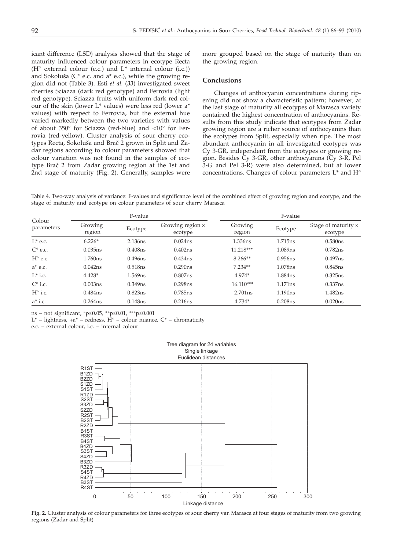icant difference (LSD) analysis showed that the stage of maturity influenced colour parameters in ecotype Recta (H° external colour (e.c.) and L\* internal colour (i.c.)) and Sokoluša ( $C^*$  e.c. and a $*$  e.c.), while the growing region did not (Table 3). Esti *et al.* (*33*) investigated sweet cherries Sciazza (dark red genotype) and Ferrovia (light red genotype). Sciazza fruits with uniform dark red colour of the skin (lower L\* values) were less red (lower a\* values) with respect to Ferrovia, but the external hue varied markedly between the two varieties with values of about 350° for Sciazza (red-blue) and <10° for Ferrovia (red-yellow). Cluster analysis of sour cherry ecotypes Recta, Sokoluša and Brač 2 grown in Split and Zadar regions according to colour parameters showed that colour variation was not found in the samples of ecotype Brač 2 from Zadar growing region at the 1st and 2nd stage of maturity (Fig. 2). Generally, samples were

more grouped based on the stage of maturity than on the growing region.

#### **Conclusions**

Changes of anthocyanin concentrations during ripening did not show a characteristic pattern; however, at the last stage of maturity all ecotypes of Marasca variety contained the highest concentration of anthocyanins. Results from this study indicate that ecotypes from Zadar growing region are a richer source of anthocyanins than the ecotypes from Split, especially when ripe. The most abundant anthocyanin in all investigated ecotypes was Cy 3-GR, independent from the ecotypes or growing region. Besides Cy 3-GR, other anthocyanins (Cy 3-R, Pel 3-G and Pel 3-R) were also determined, but at lower concentrations. Changes of colour parameters L\* and H°

Table 4. Two-way analysis of variance: F-values and significance level of the combined effect of growing region and ecotype, and the stage of maturity and ecotype on colour parameters of sour cherry Marasca

| Colour<br>parameters |                     | F-value             |                                    |                   | F-value             |                                       |
|----------------------|---------------------|---------------------|------------------------------------|-------------------|---------------------|---------------------------------------|
|                      | Growing<br>region   | Ecotype             | Growing region $\times$<br>ecotype | Growing<br>region | Ecotype             | Stage of maturity $\times$<br>ecotype |
| $L^*$ e.c.           | $6.226*$            | 2.136ns             | 0.024ns                            | 1.336ns           | 1.715 <sub>ns</sub> | 0.580ns                               |
| $C^*$ e.c.           | 0.035ns             | 0.408ns             | 0.402ns                            | $11.218***$       | 1.089ns             | 0.782ns                               |
| $H^{\circ}$ e.c.     | 1.760 <sub>ns</sub> | 0.496ns             | 0.434ns                            | $8.266**$         | 0.956ns             | 0.497ns                               |
| $a^*$ e.c.           | 0.042ns             | 0.518ns             | 0.290ns                            | $7.234**$         | 1.078ns             | 0.845ns                               |
| $L^*$ i.c.           | $4.428*$            | 1.569 <sub>ns</sub> | 0.807ns                            | 4.974*            | 1.884 <sub>ns</sub> | 0.325ns                               |
| $C^*$ i.c.           | 0.003ns             | $0.349$ ns          | 0.298ns                            | $16.110***$       | 1.171ns             | 0.337ns                               |
| $H^{\circ}$ i.c.     | 0.484ns             | 0.823ns             | 0.785ns                            | 2.701ns           | 1.190ns             | 1.482ns                               |
| $a^*$ i.c.           | $0.264$ ns          | $0.148$ ns          | 0.216ns                            | $4.734*$          | $0.208$ ns          | 0.020ns                               |

ns – not significant, \*p $\leq 0.05$ , \*\*p $\leq 0.01$ , \*\*\*p $\leq 0.001$ 

L\* – lightness,  $+a^*$  – redness,  $H^{\circ}$  – colour nuance,  $C^*$  – chromaticity

e.c. – external colour, i.c. – internal colour



**Fig. 2.** Cluster analysis of colour parameters for three ecotypes of sour cherry var. Marasca at four stages of maturity from two growing regions (Zadar and Split)